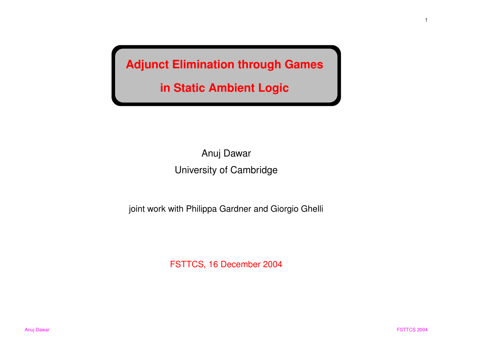**Adjunct Elimination through Games**

**in Static Ambient Logic**

Anuj Dawar University of Cambridge

joint work with Philippa Gardner and Giorgio Ghelli

FSTTCS, 16 December 2004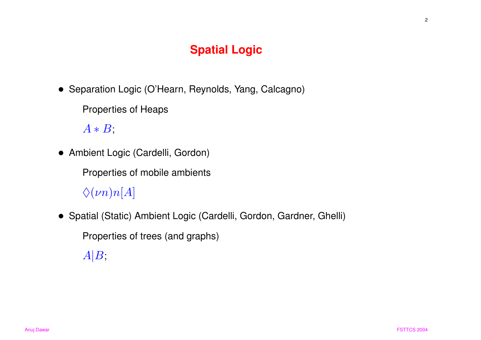## **Spatial Logic**

- Separation Logic (O'Hearn, Reynolds, Yang, Calcagno)
	- Properties of Heaps

 $A * B$ ;

• Ambient Logic (Cardelli, Gordon)

Properties of mobile ambients

 $\Diamond(\nu n)n[A]$ 

• Spatial (Static) Ambient Logic (Cardelli, Gordon, Gardner, Ghelli)

Properties of trees (and graphs)

 $A|B$ ;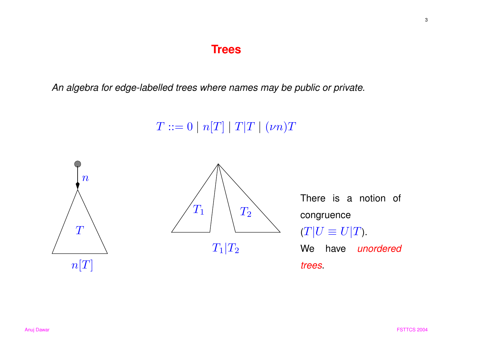## **Trees**

An algebra for edge-labelled trees where names may be public or private.

 $T ::= 0 | n[T] | T|T | (\nu n)T$ 



3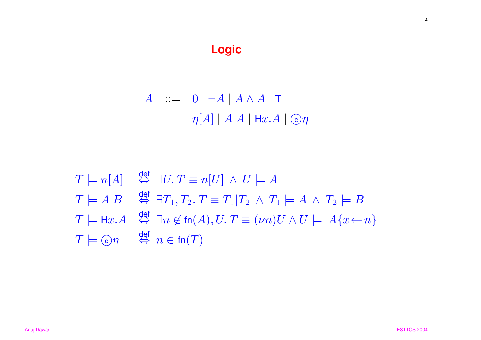# **Logic**

$$
A \quad ::= \quad 0 \mid \neg A \mid A \land A \mid \mathsf{T} \mid
$$
\n
$$
\eta[A] \mid A \mid A \mid \mathsf{H}x.A \mid \mathsf{C}\eta
$$

$$
T \models n[A] \stackrel{\text{def}}{\Leftrightarrow} \exists U. \ T \equiv n[U] \land U \models A
$$
  
\n
$$
T \models A|B \stackrel{\text{def}}{\Leftrightarrow} \exists T_1, T_2. \ T \equiv T_1|T_2 \land T_1 \models A \land T_2 \models B
$$
  
\n
$$
T \models \text{Hx}.A \stackrel{\text{def}}{\Leftrightarrow} \exists n \notin \text{fn}(A), U. \ T \equiv (\nu n)U \land U \models A\{x \leftarrow n\}
$$
  
\n
$$
T \models \text{C} \land \stackrel{\text{def}}{\Leftrightarrow} n \in \text{fn}(T)
$$

4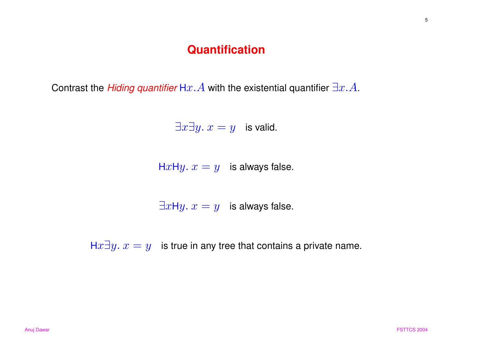#### **Quantification**

Contrast the *Hiding quantifier* H $x.A$  with the existential quantifier  $\exists x.A$ .

 $\exists x \exists y. x = y$  is valid.

HxHy.  $x = y$  is always false.

 $\exists x \mathsf{H} y. x = y$  is always false.

Hx $\exists y. x = y$  is true in any tree that contains a private name.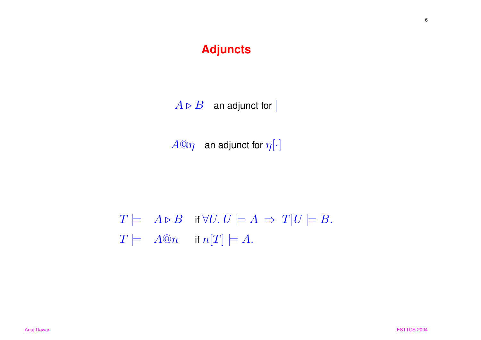## **Adjuncts**

 $A \triangleright B$  an adjunct for |

 $A@\eta$  an adjunct for  $\eta[\cdot]$ 

 $T \models A \triangleright B$  if  $\forall U. U \models A \Rightarrow T | U \models B$ .  $T \models \quad A@n \quad \text{ if } n[T] \models A.$ 

6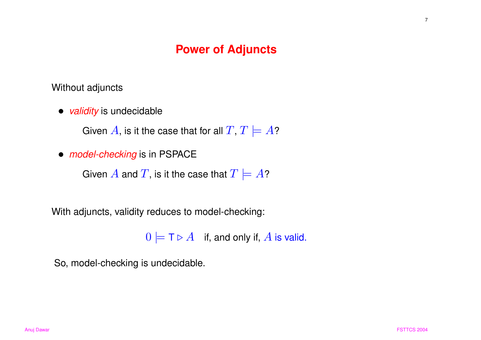### **Power of Adjuncts**

Without adjuncts

• *validity* is undecidable

Given A, is it the case that for all  $T, T \models A$ ?

• *model-checking* is in PSPACE

Given  $A$  and  $T$ , is it the case that  $T \models A$ ?

With adjuncts, validity reduces to model-checking:

 $0 \models T \triangleright A$  if, and only if, A is valid.

So, model-checking is undecidable.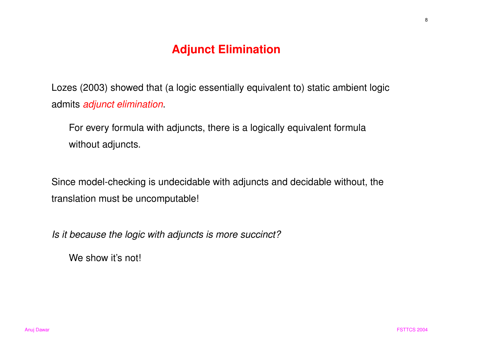## **Adjunct Elimination**

Lozes (2003) showed that (a logic essentially equivalent to) static ambient logic admits *adjunct elimination*.

For every formula with adjuncts, there is <sup>a</sup> logically equivalent formula without adjuncts.

Since model-checking is undecidable with adjuncts and decidable without, the translation must be uncomputable!

Is it because the logic with adjuncts is more succinct?

We show it's not!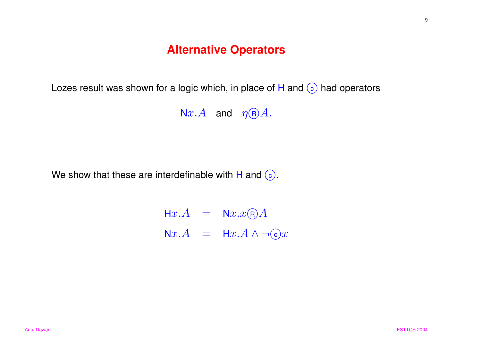#### **Alternative Operators**

Lozes result was shown for a logic which, in place of  $H$  and  $\circled{c}$  had operators

Nx.A and  $\eta \text{R}$ A.

We show that these are interdefinable with H and  $\odot$ .

 $\mathsf{H} x.A$  =  $\mathsf{N} x.x \textcolor{red}{\mathsf{R}} A$  $\mathsf{N} x.A$  =  $\mathsf{H} x.A \land \neg \mathbb{C} x$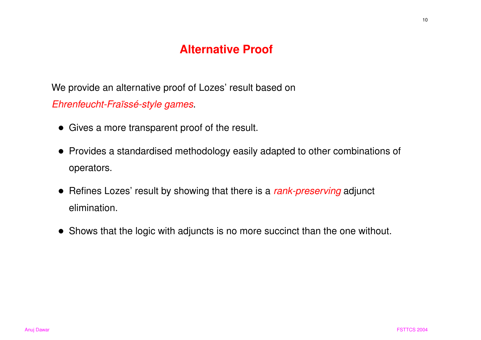## **Alternative Proof**

We provide an alternative proof of Lozes' result based on Ehrenfeucht-Fraïssé-style games.

- Gives <sup>a</sup> more transparent proof of the result.
- Provides <sup>a</sup> standardised methodology easily adapted to other combinations of operators.
- Refines Lozes' result by showing that there is a *rank-preserving* adjunct elimination.
- Shows that the logic with adjuncts is no more succinct than the one without.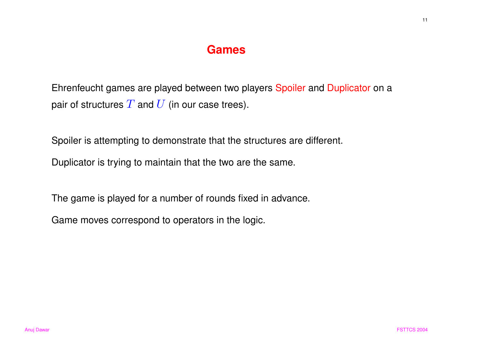#### **Games**

Ehrenfeucht games are played between two players Spoiler and Duplicator on <sup>a</sup> pair of structures  $T$  and  $U$  (in our case trees).

Spoiler is attempting to demonstrate that the structures are different.

Duplicator is trying to maintain that the two are the same.

The game is played for <sup>a</sup> number of rounds fixed in advance.

Game moves correspond to operators in the logic.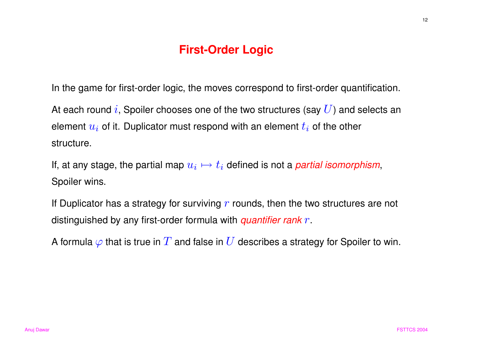## **First-Order Logic**

In the game for first-order logic, the moves correspond to first-order quantification.

At each round i, Spoiler chooses one of the two structures (say  $U$ ) and selects an element  $u_i$  of it. Duplicator must respond with an element  $t_i$  of the other structure.

If, at any stage, the partial map  $u_i \mapsto t_i$  defined is not a *partial isomorphism*, Spoiler wins.

If Duplicator has a strategy for surviving  $r$  rounds, then the two structures are not distinguished by any first-order formula with *quantifier rank*  $r$ *.* 

A formula  $\varphi$  that is true in  $T$  and false in  $U$  describes a strategy for Spoiler to win.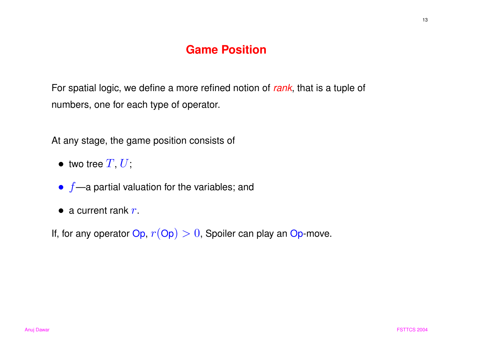## **Game Position**

For spatial logic, we define a more refined notion of rank, that is a tuple of numbers, one for each type of operator.

At any stage, the game position consists of

- $\bullet\,$  two tree  $T,\, U,$
- $\bullet$   $f$ —a partial valuation for the variables; and
- a current rank  $r$ .
- If, for any operator  $Op, r (Op) > 0$ , Spoiler can play an Op-move.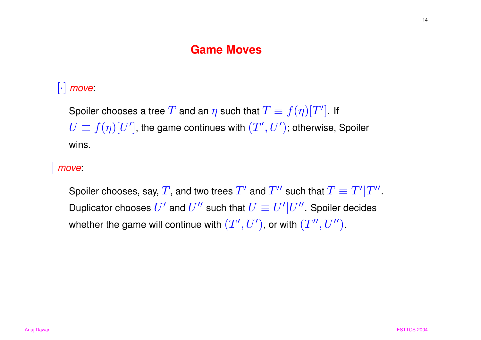#### **Game Moves**

# $\lfloor \cdot \rfloor$  move:

Spoiler chooses a tree T and an  $\eta$  such that  $T \equiv f(\eta)[T']$ . If  $U \equiv f(\eta)[U']$ , the game continues with  $(T',U')$ ; otherwise, Spoiler wins.

#### | move:

Spoiler chooses, say, T, and two trees  $T'$  and  $T''$  such that  $T \equiv T'|T''$ . Duplicator chooses  $U'$  and  $U''$  such that  $U \equiv U'|U''$ . Spoiler decides whether the game will continue with  $(T',U')$ , or with  $(T'',U'')$ .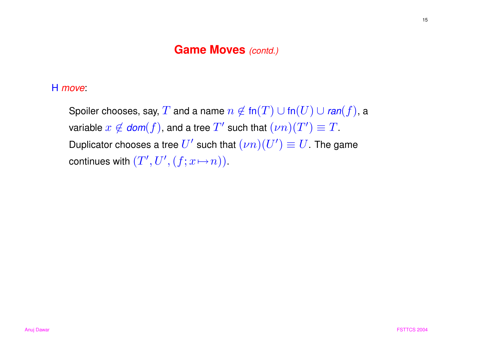#### Game Moves (contd.)

H move:

Spoiler chooses, say,  $T$  and a name  $n \not\in \text{fn}(T) \cup \text{fn}(U) \cup \text{ran}(f)$ , a variable  $x \notin \text{dom}(f)$ , and a tree  $T'$  such that  $(\nu n)(T') \equiv T$ . Duplicator chooses a tree  $U'$  such that  $(\nu n)(U') \equiv U$ . The game continues with  $(T', U', (f; x \mapsto n))$ .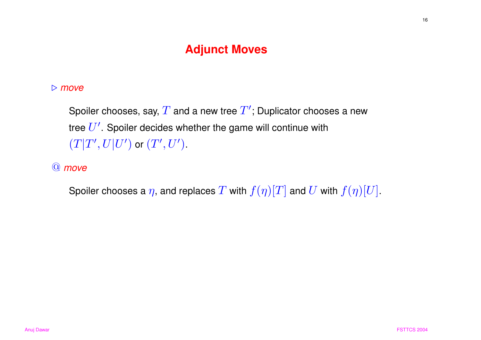## **Adjunct Moves**

#### $\triangleright$  move

Spoiler chooses, say,  $T$  and a new tree  $T'$ ; Duplicator chooses a new tree  $U'$ . Spoiler decides whether the game will continue with  $(T|T',U|U')$  or  $(T',U')$ .

#### @ move

Spoiler chooses a  $\eta$ , and replaces T with  $f(\eta)[T]$  and U with  $f(\eta)[U]$ .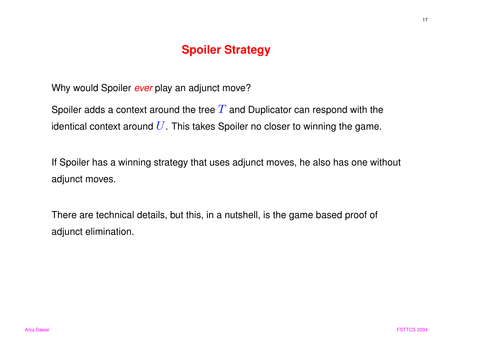## **Spoiler Strategy**

Why would Spoiler ever play an adjunct move?

Spoiler adds a context around the tree  $T$  and Duplicator can respond with the identical context around  $U$ . This takes Spoiler no closer to winning the game.

If Spoiler has <sup>a</sup> winning strategy that uses adjunct moves, he also has one without adjunct moves.

There are technical details, but this, in <sup>a</sup> nutshell, is the game based proof of adjunct elimination.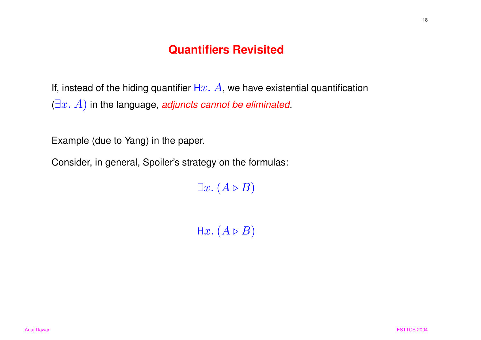## **Quantifiers Revisited**

If, instead of the hiding quantifier Hx.  $A$ , we have existential quantification  $(\exists x. A)$  in the language, adjuncts cannot be eliminated.

Example (due to Yang) in the paper.

Consider, in general, Spoiler's strategy on the formulas:

 $\exists x. (A \triangleright B)$ 

Hx.  $(A \triangleright B)$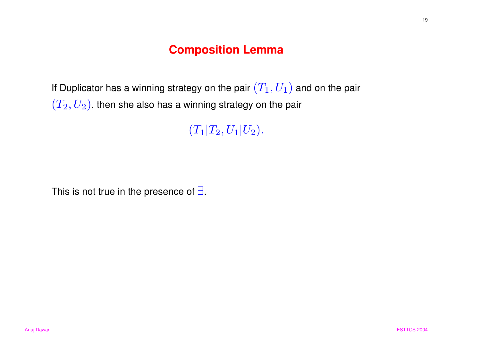## **Composition Lemma**

If Duplicator has a winning strategy on the pair  $(T_1,U_1)$  and on the pair  $(T_2,U_2)$ , then she also has a winning strategy on the pair

 $(T_1|T_2,U_1|U_2).$ 

This is not true in the presence of  $\exists$ .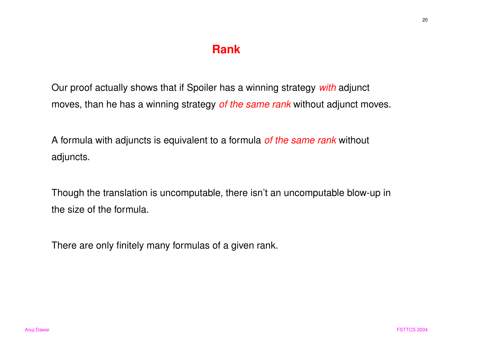## **Rank**

Our proof actually shows that if Spoiler has a winning strategy with adjunct moves, than he has a winning strategy of the same rank without adjunct moves.

A formula with adjuncts is equivalent to a formula of the same rank without adjuncts.

Though the translation is uncomputable, there isn't an uncomputable blow-up in the size of the formula.

There are only finitely many formulas of <sup>a</sup> given rank.